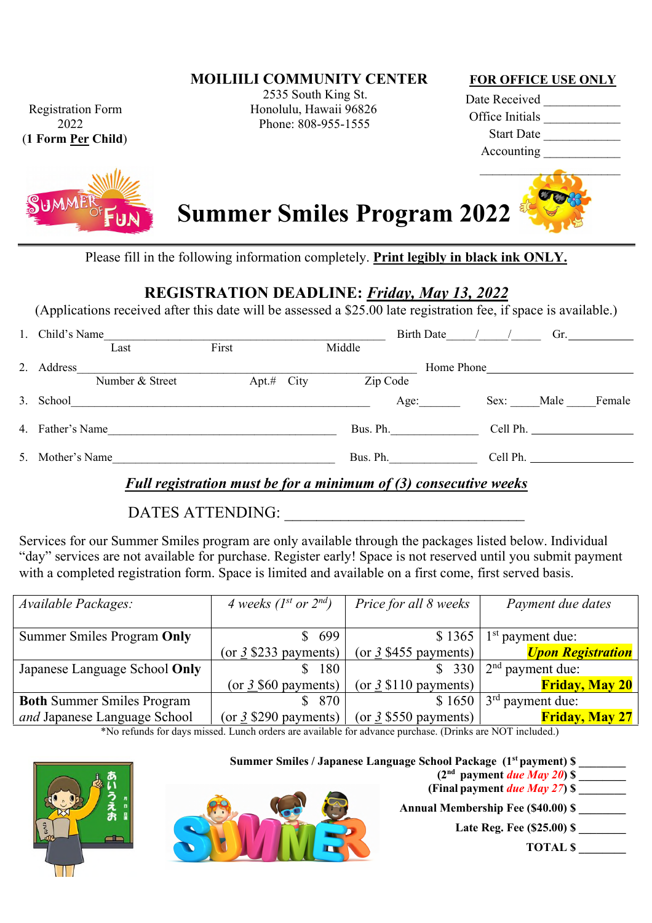**MOILIILI COMMUNITY CENTER**

(**1 Form Per Child**)



2535 South King St. Registration Form Honolulu, Hawaii 96826 2022 Phone: 808-955-1555

#### **FOR OFFICE USE ONLY**

Date Received Office Initials Start Date \_\_\_\_\_\_\_\_\_\_\_\_ Accounting \_\_\_\_\_\_\_\_\_\_\_\_



Please fill in the following information completely. **Print legibly in black ink ONLY.**

## **REGISTRATION DEADLINE:** *Friday, May 13, 2022*

(Applications received after this date will be assessed a \$25.00 late registration fee, if space is available.)

|    | Child's Name     |                 |                 |  | <b>Birth Date</b> |      | Gr.        |                          |        |
|----|------------------|-----------------|-----------------|--|-------------------|------|------------|--------------------------|--------|
|    |                  | Last            | First           |  | Middle            |      |            |                          |        |
| 2. | Address          |                 |                 |  |                   |      | Home Phone |                          |        |
|    |                  | Number & Street | $Apt.$ # $City$ |  | Zip Code          |      |            |                          |        |
|    | 3. School        |                 |                 |  |                   | Age: | Sex: Male  |                          | Female |
|    | 4. Father's Name |                 |                 |  | Bus. Ph.          |      |            | Cell Ph. $\qquad \qquad$ |        |
|    | 5. Mother's Name |                 |                 |  | Bus. Ph.          |      |            | Cell Ph.                 |        |
|    |                  |                 |                 |  |                   |      |            |                          |        |

### *Full registration must be for a minimum of (3) consecutive weeks*

DATES ATTENDING:

Services for our Summer Smiles program are only available through the packages listed below. Individual "day" services are not available for purchase. Register early! Space is not reserved until you submit payment with a completed registration form. Space is limited and available on a first come, first served basis.

| Available Packages:               | 4 weeks ( $I^{st}$ or $2^{nd}$ ) | Price for all 8 weeks              | Payment due dates                             |  |  |
|-----------------------------------|----------------------------------|------------------------------------|-----------------------------------------------|--|--|
|                                   |                                  |                                    |                                               |  |  |
| Summer Smiles Program Only        | \$699                            |                                    | $$1365$   1 <sup>st</sup> payment due:        |  |  |
|                                   | (or $3\$ \$233 payments)         | (or $3\frac{1}{3}$ \$455 payments) | <b><i><u><b>Upon Registration</b></u></i></b> |  |  |
| Japanese Language School Only     | 180                              | \$330                              | $\sim 2^{\text{nd}}$ payment due:             |  |  |
|                                   | (or $3,560$ payments)            | (or $\frac{3}{5}$ \$110 payments)  | <b>Friday, May 20</b>                         |  |  |
| <b>Both Summer Smiles Program</b> | \$870                            |                                    | $$1650   3rd$ payment due:                    |  |  |
| and Japanese Language School      | (or $3$ \$290 payments)          | (or $3\$ \$550 payments)           | <b>Friday, May 27</b>                         |  |  |

\*No refunds for days missed. Lunch orders are available for advance purchase. (Drinks are NOT included.)

**Summer Smiles / Japanese Language School Package (1st payment) \$ \_\_\_\_\_\_\_\_**

 $(2<sup>nd</sup>$  payment *due May 20* $)$  \$ **(Final payment** *due May 27***) \$ \_\_\_\_\_\_\_\_**

**Late Reg. Fee (\$25.00) \$ \_\_\_\_\_\_\_\_**

**TOTAL \$ \_\_\_\_\_\_\_\_**



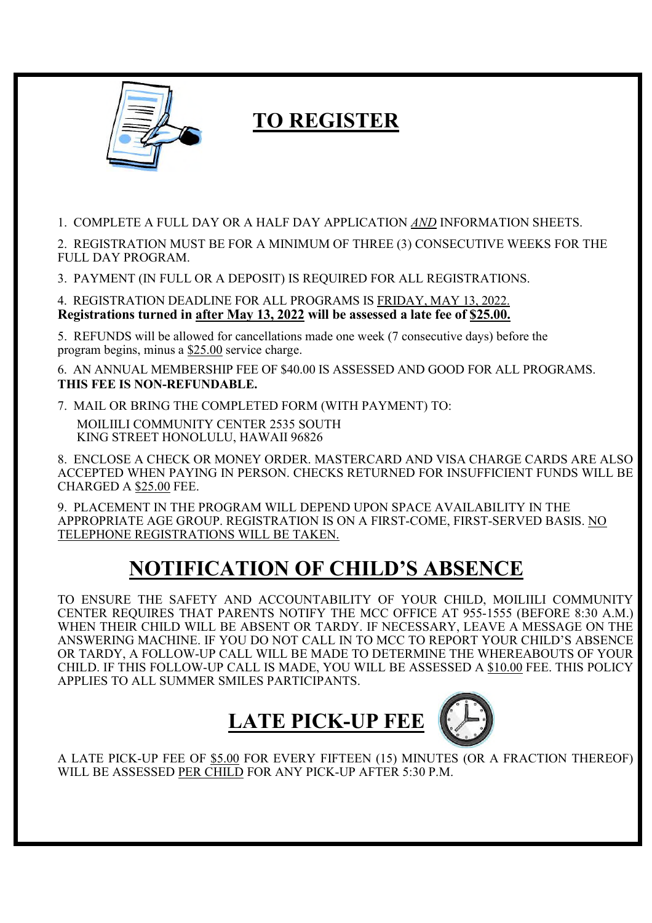

# **TO REGISTER**

1. COMPLETE A FULL DAY OR A HALF DAY APPLICATION *AND* INFORMATION SHEETS.

2. REGISTRATION MUST BE FOR A MINIMUM OF THREE (3) CONSECUTIVE WEEKS FOR THE FULL DAY PROGRAM.

3. PAYMENT (IN FULL OR A DEPOSIT) IS REQUIRED FOR ALL REGISTRATIONS.

4. REGISTRATION DEADLINE FOR ALL PROGRAMS IS FRIDAY, MAY 13, 2022. **Registrations turned in after May 13, 2022 will be assessed a late fee of \$25.00.**

5. REFUNDS will be allowed for cancellations made one week (7 consecutive days) before the program begins, minus a \$25.00 service charge.

6. AN ANNUAL MEMBERSHIP FEE OF \$40.00 IS ASSESSED AND GOOD FOR ALL PROGRAMS. **THIS FEE IS NON-REFUNDABLE.**

7. MAIL OR BRING THE COMPLETED FORM (WITH PAYMENT) TO: MOILIILI COMMUNITY CENTER 2535 SOUTH KING STREET HONOLULU, HAWAII 96826

8. ENCLOSE A CHECK OR MONEY ORDER. MASTERCARD AND VISA CHARGE CARDS ARE ALSO ACCEPTED WHEN PAYING IN PERSON. CHECKS RETURNED FOR INSUFFICIENT FUNDS WILL BE CHARGED A \$25.00 FEE.

9. PLACEMENT IN THE PROGRAM WILL DEPEND UPON SPACE AVAILABILITY IN THE APPROPRIATE AGE GROUP. REGISTRATION IS ON A FIRST-COME, FIRST-SERVED BASIS. NO TELEPHONE REGISTRATIONS WILL BE TAKEN.

# **NOTIFICATION OF CHILD'S ABSENCE**

TO ENSURE THE SAFETY AND ACCOUNTABILITY OF YOUR CHILD, MOILIILI COMMUNITY CENTER REQUIRES THAT PARENTS NOTIFY THE MCC OFFICE AT 955-1555 (BEFORE 8:30 A.M.) WHEN THEIR CHILD WILL BE ABSENT OR TARDY. IF NECESSARY, LEAVE A MESSAGE ON THE ANSWERING MACHINE. IF YOU DO NOT CALL IN TO MCC TO REPORT YOUR CHILD'S ABSENCE OR TARDY, A FOLLOW-UP CALL WILL BE MADE TO DETERMINE THE WHEREABOUTS OF YOUR CHILD. IF THIS FOLLOW-UP CALL IS MADE, YOU WILL BE ASSESSED A \$10.00 FEE. THIS POLICY APPLIES TO ALL SUMMER SMILES PARTICIPANTS.



A LATE PICK-UP FEE OF \$5.00 FOR EVERY FIFTEEN (15) MINUTES (OR A FRACTION THEREOF) WILL BE ASSESSED PER CHILD FOR ANY PICK-UP AFTER 5:30 P.M.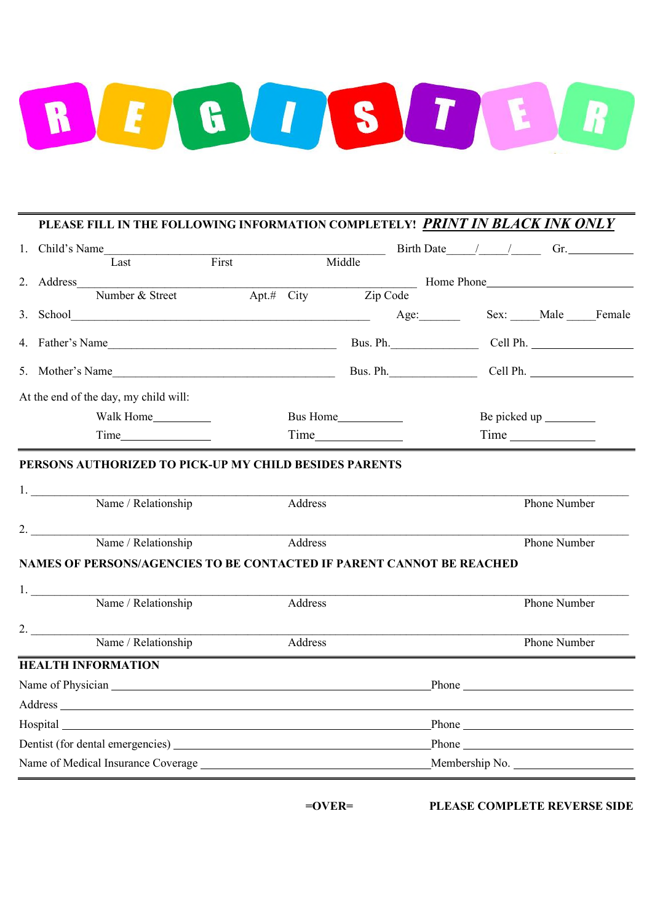

#### **PLEASE FILL IN THE FOLLOWING INFORMATION COMPLETELY!** *PRINT IN BLACK INK ONLY*

|  | 1. Child's Name    |                                                                                                                                                                                                                                |       |  |                       |          |      |                                                                                                                                                                                                                               |  |  |                         | Birth Date / / Gr.         |
|--|--------------------|--------------------------------------------------------------------------------------------------------------------------------------------------------------------------------------------------------------------------------|-------|--|-----------------------|----------|------|-------------------------------------------------------------------------------------------------------------------------------------------------------------------------------------------------------------------------------|--|--|-------------------------|----------------------------|
|  |                    | Last                                                                                                                                                                                                                           | First |  |                       | Middle   |      |                                                                                                                                                                                                                               |  |  |                         |                            |
|  | 2. Address         |                                                                                                                                                                                                                                |       |  |                       |          |      |                                                                                                                                                                                                                               |  |  |                         | Home Phone                 |
|  |                    | Number & Street                                                                                                                                                                                                                |       |  | Apt.# City            | Zip Code |      |                                                                                                                                                                                                                               |  |  |                         |                            |
|  |                    |                                                                                                                                                                                                                                |       |  |                       |          | Age: |                                                                                                                                                                                                                               |  |  |                         | Sex: Male Female           |
|  |                    | 4. Father's Name                                                                                                                                                                                                               |       |  |                       |          |      |                                                                                                                                                                                                                               |  |  |                         | Bus. Ph. Cell Ph. No. 2012 |
|  |                    | 5. Mother's Name                                                                                                                                                                                                               |       |  |                       | Bus. Ph. |      |                                                                                                                                                                                                                               |  |  |                         | Cell Ph.                   |
|  |                    | At the end of the day, my child will:                                                                                                                                                                                          |       |  |                       |          |      |                                                                                                                                                                                                                               |  |  |                         |                            |
|  |                    | Walk Home____________                                                                                                                                                                                                          |       |  | Bus Home_____________ |          |      |                                                                                                                                                                                                                               |  |  | Be picked up __________ |                            |
|  |                    |                                                                                                                                                                                                                                |       |  | <b>Time</b>           |          |      | Time and the same state of the state of the state of the state of the state of the state of the state of the state of the state of the state of the state of the state of the state of the state of the state of the state of |  |  |                         |                            |
|  | 1. $\qquad$        | PERSONS AUTHORIZED TO PICK-UP MY CHILD BESIDES PARENTS                                                                                                                                                                         |       |  |                       |          |      |                                                                                                                                                                                                                               |  |  |                         |                            |
|  |                    | Name / Relationship                                                                                                                                                                                                            |       |  | Address               |          |      |                                                                                                                                                                                                                               |  |  | Phone Number            |                            |
|  | 2.                 | Name / Relationship                                                                                                                                                                                                            |       |  | Address               |          |      |                                                                                                                                                                                                                               |  |  | Phone Number            |                            |
|  |                    | NAMES OF PERSONS/AGENCIES TO BE CONTACTED IF PARENT CANNOT BE REACHED                                                                                                                                                          |       |  |                       |          |      |                                                                                                                                                                                                                               |  |  |                         |                            |
|  | 1. $\qquad \qquad$ | Name / Relationship                                                                                                                                                                                                            |       |  | Address               |          |      |                                                                                                                                                                                                                               |  |  | Phone Number            |                            |
|  | 2. $\qquad \qquad$ | Name / Relationship                                                                                                                                                                                                            |       |  | Address               |          |      |                                                                                                                                                                                                                               |  |  | Phone Number            |                            |
|  |                    | <b>HEALTH INFORMATION</b>                                                                                                                                                                                                      |       |  |                       |          |      |                                                                                                                                                                                                                               |  |  |                         |                            |
|  |                    |                                                                                                                                                                                                                                |       |  |                       |          |      |                                                                                                                                                                                                                               |  |  |                         |                            |
|  |                    |                                                                                                                                                                                                                                |       |  |                       |          |      |                                                                                                                                                                                                                               |  |  |                         |                            |
|  |                    | Hospital https://www.archive.com/communications/communications/communications/communications/communications/communications/communications/communications/communications/communications/communications/communications/communica |       |  |                       |          |      |                                                                                                                                                                                                                               |  |  |                         |                            |
|  |                    |                                                                                                                                                                                                                                |       |  |                       |          |      |                                                                                                                                                                                                                               |  |  |                         |                            |
|  |                    |                                                                                                                                                                                                                                |       |  |                       |          |      |                                                                                                                                                                                                                               |  |  |                         | Membership No.             |

**=OVER= PLEASE COMPLETE REVERSE SIDE**